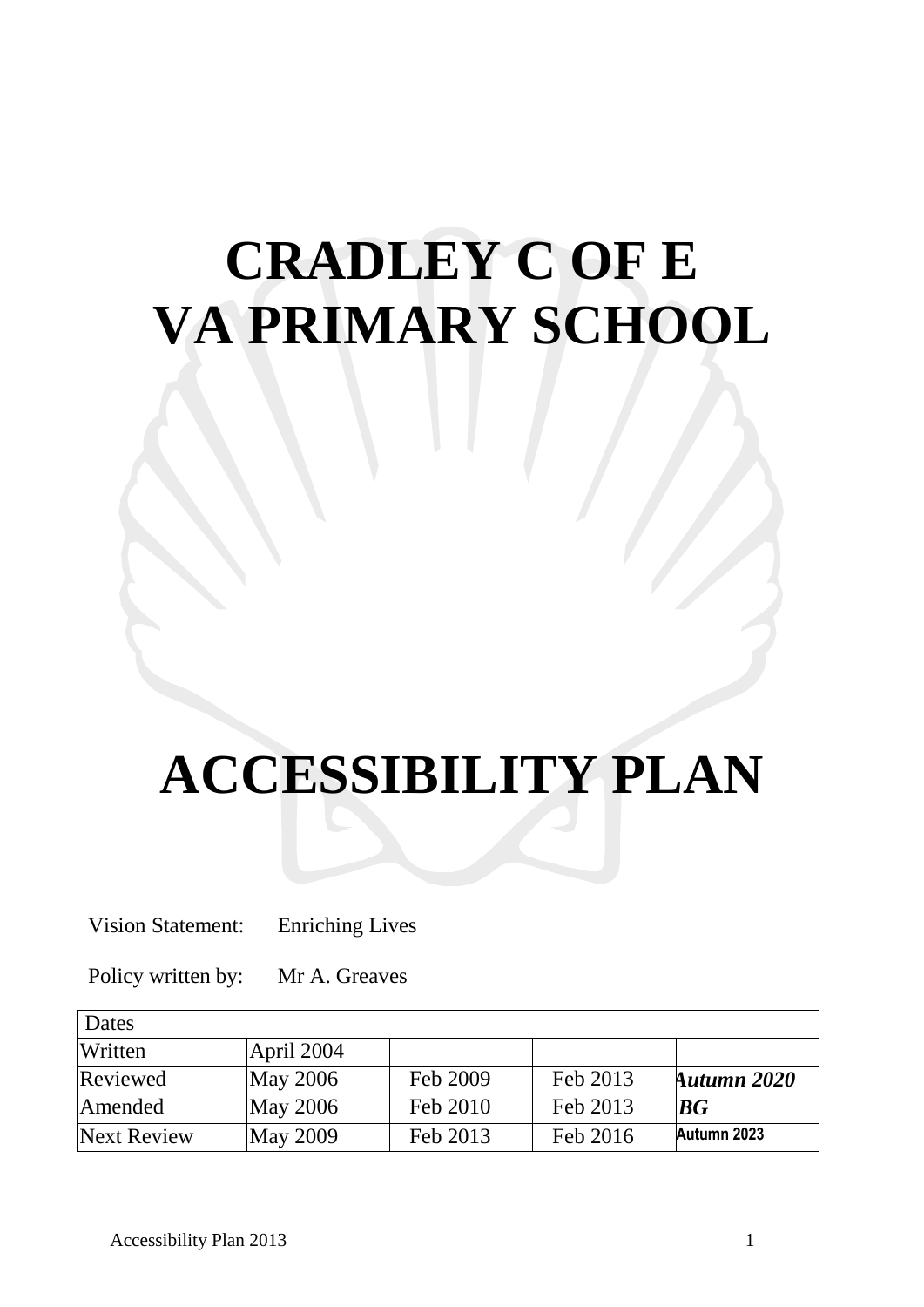# **CRADLEY C OF E VA PRIMARY SCHOOL**

# **ACCESSIBILITY PLAN**

Vision Statement: Enriching Lives

Policy written by: Mr A. Greaves

| Dates       |                 |          |          |             |
|-------------|-----------------|----------|----------|-------------|
| Written     | April 2004      |          |          |             |
| Reviewed    | <b>May 2006</b> | Feb 2009 | Feb 2013 | Autumn 2020 |
| Amended     | May 2006        | Feb 2010 | Feb 2013 | BG          |
| Next Review | May 2009        | Feb 2013 | Feb 2016 | Autumn 2023 |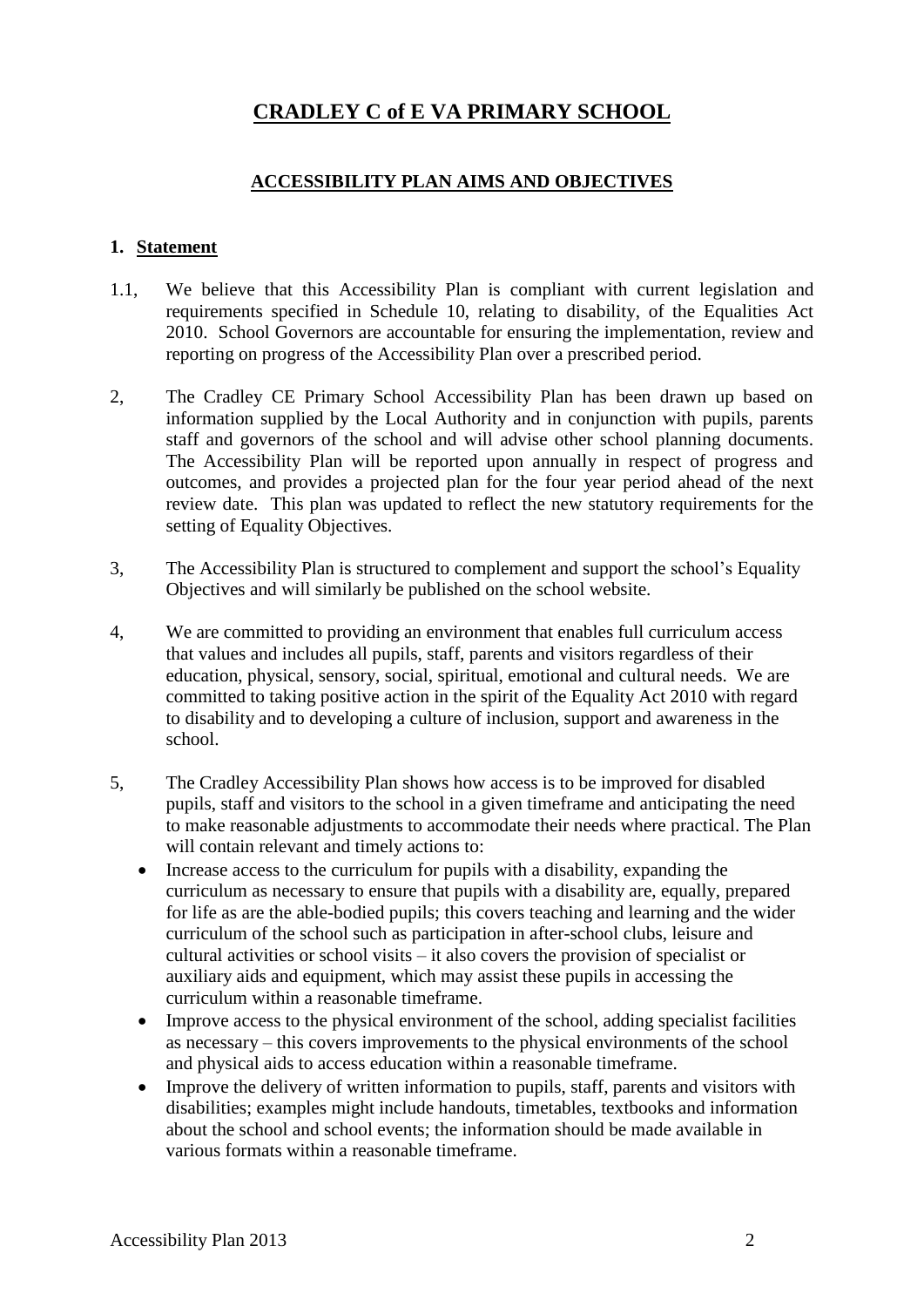### **CRADLEY C of E VA PRIMARY SCHOOL**

### **ACCESSIBILITY PLAN AIMS AND OBJECTIVES**

#### **1. Statement**

- 1.1, We believe that this Accessibility Plan is compliant with current legislation and requirements specified in Schedule 10, relating to disability, of the Equalities Act 2010. School Governors are accountable for ensuring the implementation, review and reporting on progress of the Accessibility Plan over a prescribed period.
- 2, The Cradley CE Primary School Accessibility Plan has been drawn up based on information supplied by the Local Authority and in conjunction with pupils, parents staff and governors of the school and will advise other school planning documents. The Accessibility Plan will be reported upon annually in respect of progress and outcomes, and provides a projected plan for the four year period ahead of the next review date. This plan was updated to reflect the new statutory requirements for the setting of Equality Objectives.
- 3, The Accessibility Plan is structured to complement and support the school's Equality Objectives and will similarly be published on the school website.
- 4, We are committed to providing an environment that enables full curriculum access that values and includes all pupils, staff, parents and visitors regardless of their education, physical, sensory, social, spiritual, emotional and cultural needs. We are committed to taking positive action in the spirit of the Equality Act 2010 with regard to disability and to developing a culture of inclusion, support and awareness in the school.
- 5, The Cradley Accessibility Plan shows how access is to be improved for disabled pupils, staff and visitors to the school in a given timeframe and anticipating the need to make reasonable adjustments to accommodate their needs where practical. The Plan will contain relevant and timely actions to:
	- Increase access to the curriculum for pupils with a disability, expanding the curriculum as necessary to ensure that pupils with a disability are, equally, prepared for life as are the able-bodied pupils; this covers teaching and learning and the wider curriculum of the school such as participation in after-school clubs, leisure and cultural activities or school visits – it also covers the provision of specialist or auxiliary aids and equipment, which may assist these pupils in accessing the curriculum within a reasonable timeframe.
	- Improve access to the physical environment of the school, adding specialist facilities as necessary – this covers improvements to the physical environments of the school and physical aids to access education within a reasonable timeframe.
	- Improve the delivery of written information to pupils, staff, parents and visitors with disabilities; examples might include handouts, timetables, textbooks and information about the school and school events; the information should be made available in various formats within a reasonable timeframe.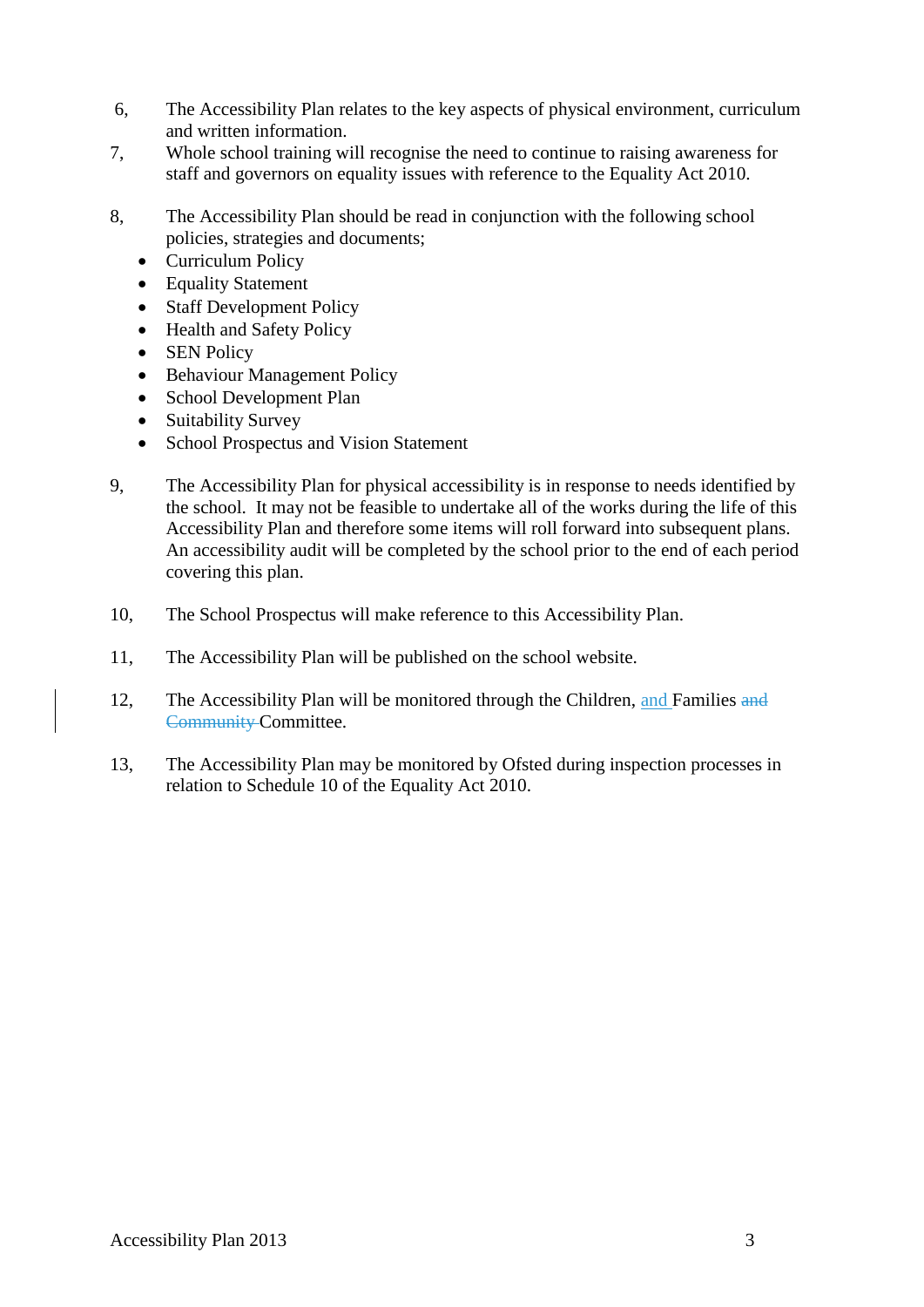- 6, The Accessibility Plan relates to the key aspects of physical environment, curriculum and written information.
- 7, Whole school training will recognise the need to continue to raising awareness for staff and governors on equality issues with reference to the Equality Act 2010.
- 8, The Accessibility Plan should be read in conjunction with the following school policies, strategies and documents;
	- Curriculum Policy
	- Equality Statement
	- Staff Development Policy
	- Health and Safety Policy
	- SEN Policy
	- Behaviour Management Policy
	- School Development Plan
	- Suitability Survey
	- School Prospectus and Vision Statement
- 9, The Accessibility Plan for physical accessibility is in response to needs identified by the school. It may not be feasible to undertake all of the works during the life of this Accessibility Plan and therefore some items will roll forward into subsequent plans. An accessibility audit will be completed by the school prior to the end of each period covering this plan.
- 10, The School Prospectus will make reference to this Accessibility Plan.
- 11, The Accessibility Plan will be published on the school website.
- 12, The Accessibility Plan will be monitored through the Children, and Families and Community Committee.
- 13, The Accessibility Plan may be monitored by Ofsted during inspection processes in relation to Schedule 10 of the Equality Act 2010.